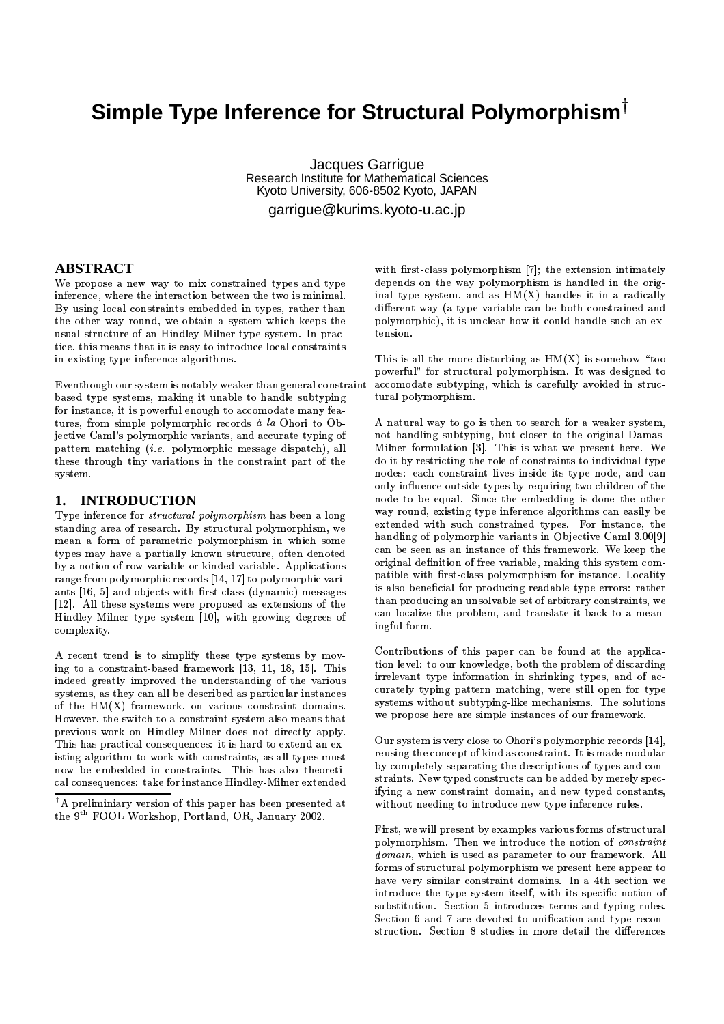# Simple Type Inference for Structural Polymorphism<sup>T</sup>

Jacques Garrigue Research Institute for Mathematical Sciences Kyoto University, 606-8502 Kyoto, JAPAN

garrique@kurims.kyoto-u.ac.jp

### **ABSTRACT**

We propose a new way to mix constrained types and type inference, where the interaction between the two is minimal. By using local constraints embedded in types, rather than the other way round, we obtain a system which keeps the usual structure of an Hindley-Milner type system. In practice, this means that it is easy to introduce local constraints in existing type inference algorithms.

Eventhough our system is notably weaker than general constraintbased type systems, making it unable to handle subtyping for instance, it is powerful enough to accomodate many features, from simple polymorphic records *à la* Ohori to Objective Caml's polymorphic variants, and accurate typing of pattern matching *(i.e.* polymorphic message dispatch), all these through tiny variations in the constraint part of the system.

## 1. INTRODUCTION

Type inference for *structural polymorphism* has been a long standing area of research. By structural polymorphism, we mean a form of parametric polymorphism in which some types may have a partially known structure, often denoted by a notion of row variable or kinded variable. Applications range from polymorphic records [14, 17] to polymorphic variants [16, 5] and objects with first-class (dynamic) messages [12]. All these systems were proposed as extensions of the Hindley-Milner type system [10], with growing degrees of complexity.

A recent trend is to simplify these type systems by moving to a constraint-based framework [13, 11, 18, 15]. This indeed greatly improved the understanding of the various systems. as they can all be described as particular instances of the HM(X) framework, on various constraint domains. However, the switch to a constraint system also means that previous work on Hindley-Milner does not directly apply. This has practical consequences: it is hard to extend an existing algorithm to work with constraints, as all types must now be embedded in constraints. This has also theoretical consequences: take for instance Hindley-Milner extended

with first-class polymorphism [7]; the extension intimately depends on the way polymorphism is handled in the original type system, and as  $HM(X)$  handles it in a radically different way (a type variable can be both constrained and polymorphic), it is unclear how it could handle such an extension.

This is all the more disturbing as  $HM(X)$  is somehow "too powerful" for structural polymorphism. It was designed to accomodate subtyping, which is carefully avoided in structural polymorphism.

A natural way to go is then to search for a weaker system, not handling subtyping, but closer to the original Damas-Milner formulation [3]. This is what we present here. We do it by restricting the role of constraints to individual type nodes: each constraint lives inside its type node, and can only influence outside types by requiring two children of the node to be equal. Since the embedding is done the other way round, existing type inference algorithms can easily be extended with such constrained types. For instance, the handling of polymorphic variants in Objective Caml 3.00[9] can be seen as an instance of this framework. We keep the original definition of free variable, making this system compatible with first-class polymorphism for instance. Locality is also beneficial for producing readable type errors: rather than producing an unsolvable set of arbitrary constraints, we can localize the problem, and translate it back to a meaningful form.

Contributions of this paper can be found at the application level: to our knowledge, both the problem of discarding irrelevant type information in shrinking types, and of accurately typing pattern matching, were still open for type systems without subtyping-like mechanisms. The solutions we propose here are simple instances of our framework.

Our system is very close to Ohori's polymorphic records [14]. reusing the concept of kind as constraint. It is made modular by completely separating the descriptions of types and constraints. New typed constructs can be added by merely specifying a new constraint domain, and new typed constants, without needing to introduce new type inference rules.

First, we will present by examples various forms of structural polymorphism. Then we introduce the notion of *constraint* domain, which is used as parameter to our framework. All forms of structural polymorphism we present here appear to have very similar constraint domains. In a 4th section we introduce the type system itself, with its specific notion of substitution. Section 5 introduces terms and typing rules. Section 6 and 7 are devoted to unification and type reconstruction. Section 8 studies in more detail the differences

 $^\dagger \mathrm{A}$  preliminiary version of this paper has been presented at the 9<sup>th</sup> FOOL Workshop, Portland, OR, January 2002.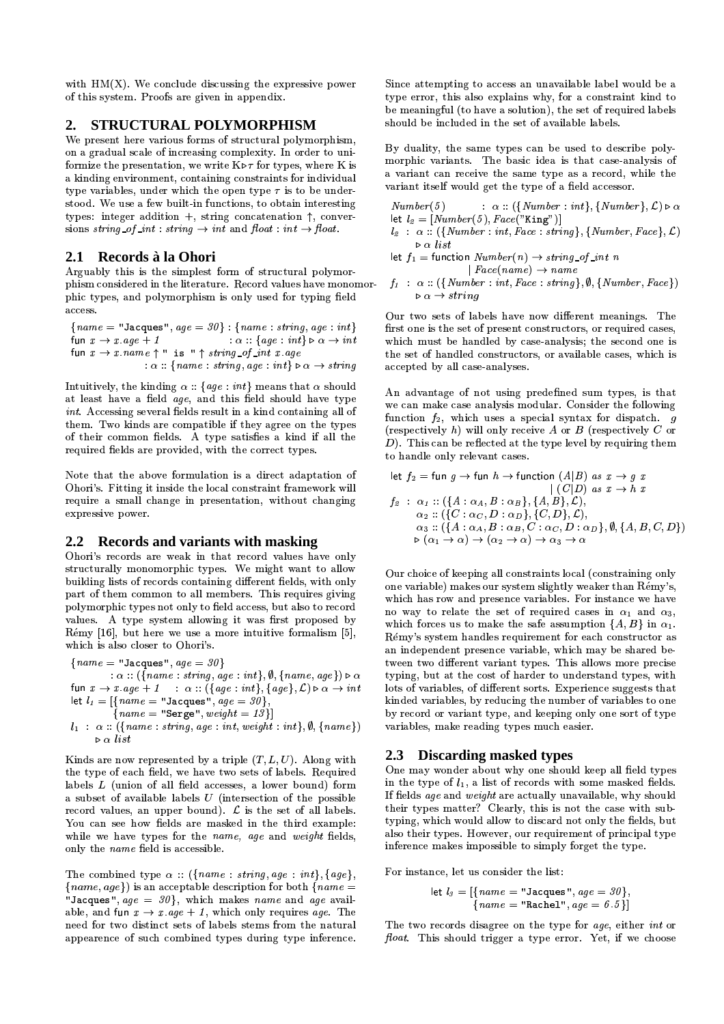with  $HM(X)$ . We conclude discussing the expressive power of this system. Proofs are given in appendix.

#### STRUCTURAL POLYMORPHISM 2.

We present here various forms of structural polymorphism, on a gradual scale of increasing complexity. In order to uniformize the presentation, we write  $K \triangleright \tau$  for types, where K is a kinding environment, containing constraints for individual type variables, under which the open type  $\tau$  is to be understood. We use a few built-in functions, to obtain interesting types: integer addition +, string concatenation  $\uparrow$ , conversions string of int: string  $\rightarrow$  int and float: int  $\rightarrow$  float.

## 2.1 Records à la Ohori

Arguably this is the simplest form of structural polymorphism considered in the literature. Record values have monomorphic types, and polymorphism is only used for typing field access.

 ${name = "Jacques", age = 30}: {name: string, age: int}$ fun  $x \rightarrow x \, age + 1$  $\alpha$  : {age : int}  $\triangleright \alpha \rightarrow int$ fun  $x \rightarrow x$  name  $\uparrow$  " is "  $\uparrow$  string of int x age  $\alpha$  : {name : string, age : int}  $\triangleright \alpha \rightarrow string$ 

Intuitively, the kinding  $\alpha$ : {age : int} means that  $\alpha$  should at least have a field *age*, and this field should have type *int.* Accessing several fields result in a kind containing all of them. Two kinds are compatible if they agree on the types of their common fields. A type satisfies a kind if all the required fields are provided, with the correct types.

Note that the above formulation is a direct adaptation of Ohori's. Fitting it inside the local constraint framework will require a small change in presentation, without changing expressive power.

## 2.2 Records and variants with masking

Ohori's records are weak in that record values have only structurally monomorphic types. We might want to allow building lists of records containing different fields, with only part of them common to all members. This requires giving polymorphic types not only to field access, but also to record values. A type system allowing it was first proposed by Rémy [16], but here we use a more intuitive formalism [5], which is also closer to Ohori's.

 ${name = "Jacques", age = 30}$  $\alpha$  :: ({name: string, age: int},  $\emptyset$ , {name, age})  $\triangleright \alpha$ fun  $x \to x$ . age + 1 :  $\alpha$  :: ({age : int}, {age},  $\mathcal{L}$ )  $\triangleright \alpha \to \text{int}$ let  $l_1 = \{name = "Jacques", age = 30\}$  $\{name = "Serge", weight = 13\}\}$  $l_1 : \alpha : (\text{name: string, age: int, weight: int}, \emptyset, \text{frame})$ 

Kinds are now represented by a triple  $(T, L, U)$ . Along with the type of each field, we have two sets of labels. Required labels  $L$  (union of all field accesses, a lower bound) form a subset of available labels  $U$  (intersection of the possible record values, an upper bound).  $\mathcal L$  is the set of all labels. You can see how fields are masked in the third example: while we have types for the name, age and weight fields, only the name field is accessible.

 $\triangleright \alpha$  list

The combined type  $\alpha$  :: ({name : string, age : int}, {age},  $\{name, age\})$  is an acceptable description for both  $\{name =$ "Jacques", age =  $30$ }, which makes name and age available, and fun  $x \to x$  age + 1, which only requires age. The need for two distinct sets of labels stems from the natural appearence of such combined types during type inference. Since attempting to access an unavailable label would be a type error, this also explains why, for a constraint kind to be meaningful (to have a solution), the set of required labels should be included in the set of available labels.

By duality, the same types can be used to describe polymorphic variants. The basic idea is that case-analysis of a variant can receive the same type as a record, while the variant itself would get the type of a field accessor.

 $\therefore \alpha :: (\{Number : int\}, \{Number\}, \mathcal{L}) \triangleright \alpha$  $Number(5)$ let  $l_2 = [Number(5), Face("King")]$ 

 $l_2 : \alpha :: (\{Number : int, Face : string\}, \{Number, Face\}, \mathcal{L})$  $\triangleright \alpha$  list

$$
\begin{array}{l}\n\text{let } f_1 = \text{function } Number(n) \rightarrow string\_of\_int \; n \\
\mid Face(name) \rightarrow name\n\end{array}
$$

$$
f_1 : \alpha :: (\{Number : int, Face : string\}, \emptyset, \{Number, Face\})
$$
  

$$
\triangleright \alpha \rightarrow string
$$

Our two sets of labels have now different meanings. The first one is the set of present constructors, or required cases, which must be handled by case-analysis: the second one is the set of handled constructors, or available cases, which is accepted by all case-analyses.

An advantage of not using predefined sum types, is that we can make case analysis modular. Consider the following function  $f_2$ , which uses a special syntax for dispatch.  $g$ (respectively h) will only receive A or B (respectively C or  $D$ ). This can be reflected at the type level by requiring them to handle only relevant cases.

let 
$$
f_2 = \text{fun } g \to \text{fun } h \to \text{function } (A|B)
$$
 as  $x \to g x$   
\n
$$
\begin{array}{c} | \ (C|D) \text{ as } x \to h \ x \\ \alpha_2 : : (\{A : \alpha_A, B : \alpha_B\}, \{A, B\}, \mathcal{L}), \\ \alpha_2 : : (\{C : \alpha_C, D : \alpha_D\}, \{C, D\}, \mathcal{L}), \\ \alpha_3 : : (\{A : \alpha_A, B : \alpha_B, C : \alpha_C, D : \alpha_D\}, \emptyset, \{A, B, C, D\}) \\ \triangleright (\alpha_1 \to \alpha) \to (\alpha_2 \to \alpha) \to \alpha_3 \to \alpha \end{array}
$$

Our choice of keeping all constraints local (constraining only one variable) makes our system slightly weaker than Rémy's, which has row and presence variables. For instance we have no way to relate the set of required cases in  $\alpha_1$  and  $\alpha_3$ , which forces us to make the safe assumption  $\{A, B\}$  in  $\alpha_1$ . Rémy's system handles requirement for each constructor as an independent presence variable, which may be shared between two different variant types. This allows more precise typing, but at the cost of harder to understand types, with lots of variables, of different sorts. Experience suggests that kinded variables, by reducing the number of variables to one by record or variant type, and keeping only one sort of type variables, make reading types much easier.

### 2.3 Discarding masked types

One may wonder about why one should keep all field types in the type of  $l_1$ , a list of records with some masked fields. If fields *age* and *weight* are actually unavailable, why should their types matter? Clearly, this is not the case with subtyping, which would allow to discard not only the fields, but also their types. However, our requirement of principal type inference makes impossible to simply forget the type.

For instance, let us consider the list:

$$
\begin{aligned} \text{let } l_3 = [\{name = "Jacques", age = 30\}, \\ \{name = "Rachel", age = 6.5\}] \end{aligned}
$$

The two records disagree on the type for age, either int or float. This should trigger a type error. Yet, if we choose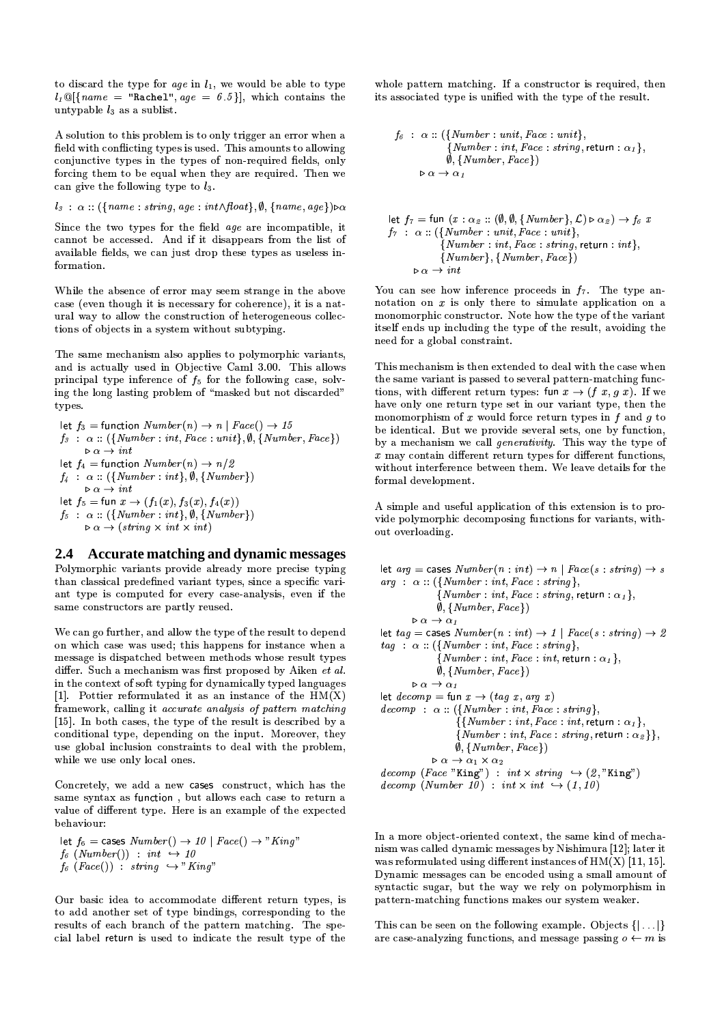to discard the type for age in  $l_1$ , we would be able to type  $l_1 \mathbb{Q}[\{name = "Rachel", age = 6.5\}],$  which contains the untypable  $l_3$  as a sublist.

A solution to this problem is to only trigger an error when a field with conflicting types is used. This amounts to allowing conjunctive types in the types of non-required fields, only forcing them to be equal when they are required. Then we can give the following type to  $l_3$ .

$$
l_3 : \alpha :: (\{name : string, age : int \land float\}, \emptyset, \{name, age\}) \triangleright \alpha
$$

Since the two types for the field age are incompatible, it cannot be accessed. And if it disappears from the list of available fields, we can just drop these types as useless information.

While the absence of error may seem strange in the above case (even though it is necessary for coherence), it is a natural way to allow the construction of heterogeneous collections of objects in a system without subtyping.

The same mechanism also applies to polymorphic variants, and is actually used in Objective Caml 3.00. This allows principal type inference of  $f_5$  for the following case, solving the long lasting problem of "masked but not discarded" types.

let 
$$
f_3
$$
 = function  $Number(n) \rightarrow n | Face() \rightarrow 15$   
\n $f_3 : \alpha :: (\{Number : int, Face : unit\}, \emptyset, \{Number, Face\})$   
\n $\triangleright \alpha \rightarrow int$   
\nlet  $f_4$  = function  $Number(n) \rightarrow n/2$   
\n $f_4 : \alpha :: (\{Number : int\}, \emptyset, \{Number\})$   
\n $\triangleright \alpha \rightarrow int$   
\nlet  $f_5$  = fun  $x \rightarrow (f_1(x), f_3(x), f_4(x))$   
\n $f_5 : \alpha :: (\{Number : int\}, \emptyset, \{Number\})$   
\n $\triangleright \alpha \rightarrow (string \times int \times int)$ 

#### Accurate matching and dynamic messages  $2.4^{\circ}$

Polymorphic variants provide already more precise typing than classical predefined variant types, since a specific variant type is computed for every case-analysis, even if the same constructors are partly reused.

We can go further, and allow the type of the result to depend on which case was used; this happens for instance when a message is dispatched between methods whose result types differ. Such a mechanism was first proposed by Aiken et al. in the context of soft typing for dynamically typed languages [1]. Pottier reformulated it as an instance of the  $HM(X)$ framework, calling it accurate analysis of pattern matching [15]. In both cases, the type of the result is described by a conditional type, depending on the input. Moreover, they use global inclusion constraints to deal with the problem, while we use only local ones.

Concretely, we add a new cases construct, which has the same syntax as function, but allows each case to return a value of different type. Here is an example of the expected heh aviour:

let  $f_6$  = cases  $Number() \rightarrow 10 \mid Face() \rightarrow "King"$  $f_6$  (Number()) : int  $\hookrightarrow$  10  $f_6$  (Face()) : string  $\hookrightarrow$  "King"

Our basic idea to accommodate different return types, is to add another set of type bindings, corresponding to the results of each branch of the pattern matching. The special label return is used to indicate the result type of the

whole pattern matching. If a constructor is required, then its associated type is unified with the type of the result.

$$
f_6: \alpha :: (\{Number: unit, Face: unit\},\n \{Number: int, Face: string, return: \alpha_1\},\n \emptyset, \{Number, Face\})
$$
\n
$$
\triangleright \alpha \rightarrow \alpha_1
$$

let 
$$
f_7 = \text{fun } (x : \alpha_2 :: (\emptyset, \emptyset, \{Number\}, \mathcal{L}) \rightharpoonup \alpha_2) \rightarrow f_6 \ x
$$
  
\n $f_7 : \alpha :: (\{Number : unit, Face : unit\}, \{Number : int, Face : string, return : int\}, \{Number\}, \{Number, Face\})$   
\n $\rightharpoonup \alpha \rightarrow int$ 

You can see how inference proceeds in  $f_7$ . The type annotation on  $x$  is only there to simulate application on a monomorphic constructor. Note how the type of the variant itself ends up including the type of the result, avoiding the need for a global constraint.

This mechanism is then extended to deal with the case when the same variant is passed to several pattern-matching functions, with different return types: fun  $x \to (f x, g x)$ . If we have only one return type set in our variant type, then the monomorphism of  $x$  would force return types in  $f$  and  $g$  to be identical. But we provide several sets, one by function, by a mechanism we call *generativity*. This way the type of  $x$  may contain different return types for different functions, without interference between them. We leave details for the formal development.

A simple and useful application of this extension is to provide polymorphic decomposing functions for variants, without overloading.

let  $arg = \text{cases } Number(n: int) \rightarrow n \mid Face(s: string) \rightarrow s$  $arg \; : \; \alpha :: (\{Number : int, Face : string\},$  ${Number: int, Face: string, return: \alpha_1},$  $\emptyset$ , {Number, Face})  $\triangleright \alpha \rightarrow \alpha_1$ let  $tag = cases \; Number(n: int) \rightarrow 1 \mid Face(s: string) \rightarrow 2$  $tag \; : \; \alpha :: (\{Number : int, Face : string\},$  $\{Number: int, Face: int, return: \alpha_1\},\$  $\emptyset$ , {Number, Face})  $\triangleright \alpha \rightarrow \alpha_1$ let  $decomp = \text{fun } x \rightarrow (tag x, arg x)$  $decomp: \alpha :: (\{Number : int, Face : string\},\$  $\{\{Number: int, Face: int, return: \alpha_1\},\$  $\{Number: int, Face: string, return: \alpha_{2}\},$  $\emptyset$ , {Number, Face})  $\triangleright$   $\alpha \rightarrow \alpha_1 \times \alpha_2$  $decomp (Face "King") : int \times string \rightarrow (2, "King")$ decomp (Number 10) : int  $\times$  int  $\hookrightarrow$  (1, 10)

In a more object-oriented context, the same kind of mechanism was called dynamic messages by Nishimura [12]; later it was reformulated using different instances of  $HM(X)$  [11, 15]. Dynamic messages can be encoded using a small amount of syntactic sugar, but the way we rely on polymorphism in pattern-matching functions makes our system weaker.

This can be seen on the following example. Objects  $\{|\ldots|\}$ are case-analyzing functions, and message passing  $o \leftarrow m$  is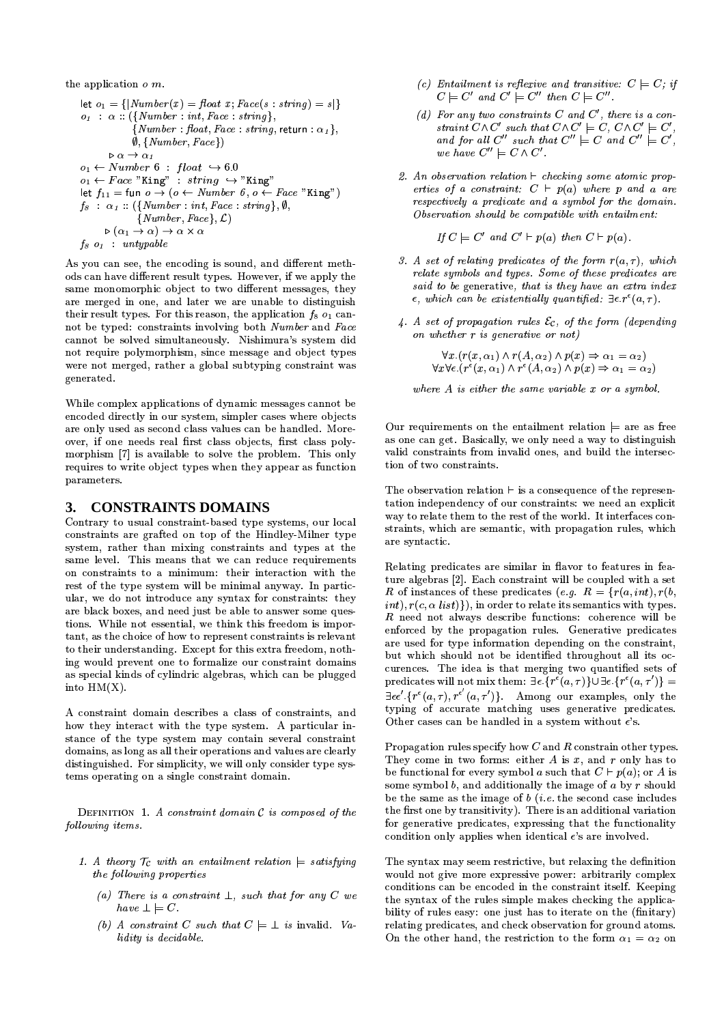the application  $o$  m.

let 
$$
o_1 = \{[Number(x) = float x; Face(s : string) = s]\}
$$
\n $o_1 : \alpha :: (\{Number : int, Face : string\}, \{Number : float, Face : string, return : \alpha_1\}, \emptyset, \{Number, Face\})$ \n $\triangleright \alpha \rightarrow \alpha_1$ \n $o_1 \leftarrow Number 6 : float \leftrightarrow 6.0$ \n $o_1 \leftarrow Face \text{ "King" : string } \rightarrow \text{ "King"}$ \nlet  $f_{11} = \text{fun } o \rightarrow (o \leftarrow Number 6, o \leftarrow Face \text{ "King")}$ \n $f_8 : \alpha_1 :: (\{Number : int, Face : string\}, \emptyset, \{Number, Face\}, \mathcal{L})$ \n $\triangleright (\alpha_1 \rightarrow \alpha) \rightarrow \alpha \times \alpha$ \n $f_8 o_1 : untypable$ 

As you can see, the encoding is sound, and different methods can have different result types. However, if we apply the same monomorphic object to two different messages, they are merged in one, and later we are unable to distinguish their result types. For this reason, the application  $f_8$   $o_1$  cannot be typed: constraints involving both Number and Face cannot be solved simultaneously. Nishimura's system did not require polymorphism, since message and object types were not merged, rather a global subtyping constraint was generated.

While complex applications of dynamic messages cannot be encoded directly in our system, simpler cases where objects are only used as second class values can be handled. Moreover, if one needs real first class objects, first class polymorphism [7] is available to solve the problem. This only requires to write object types when they appear as function parameters.

## 3. CONSTRAINTS DOMAINS

Contrary to usual constraint-based type systems, our local constraints are grafted on top of the Hindley-Milner type system, rather than mixing constraints and types at the same level. This means that we can reduce requirements on constraints to a minimum: their interaction with the rest of the type system will be minimal anyway. In particular, we do not introduce any syntax for constraints: they are black boxes, and need just be able to answer some questions. While not essential, we think this freedom is important, as the choice of how to represent constraints is relevant to their understanding. Except for this extra freedom, nothing would prevent one to formalize our constraint domains as special kinds of cylindric algebras, which can be plugged into  $HM(X)$ .

A constraint domain describes a class of constraints, and how they interact with the type system. A particular instance of the type system may contain several constraint domains, as long as all their operations and values are clearly distinguished. For simplicity, we will only consider type systems operating on a single constraint domain.

DEFINITION 1. A constraint domain  $C$  is composed of the following items.

- 1. A theory  $\mathcal{T}_{\mathcal{C}}$  with an entailment relation  $\models$  satisfying the following properties
	- (a) There is a constraint  $\perp$ , such that for any C we have  $\bot \models C$ .
	- (b) A constraint C such that  $C \models \bot$  is invalid. Validity is decidable.
- (c) Entailment is reflexive and transitive:  $C \models C$ ; if  $C \models C'$  and  $C' \models C''$  then  $C \models C''$ .
- (d) For any two constraints  $C$  and  $C'$ , there is a constraint  $C \wedge C'$  such that  $C \wedge C' \models C, C \wedge C' \models C'$ and for all  $C''$  such that  $C'' \models C$  and  $C'' \models C'$ , we have  $C'' \models C \land C'$ .
- 2. An observation relation  $\vdash$  checking some atomic properties of a constraint:  $C + p(a)$  where p and a are respectively a predicate and a symbol for the domain. Observation should be compatible with entailment:

If  $C \models C'$  and  $C' \vdash p(a)$  then  $C \vdash p(a)$ .

- 3. A set of relating predicates of the form  $r(a, \tau)$ , which relate symbols and types. Some of these predicates are said to be generative, that is they have an extra index  $\epsilon$ , which can be existentially quantified:  $\exists \epsilon \cdot r^{\epsilon}(a, \tau)$ .
- 4. A set of propagation rules  $\mathcal{E}_{\mathcal{C}}$ , of the form (depending on whether  $r$  is generative or not)

$$
\forall x. (r(x, \alpha_1) \land r(A, \alpha_2) \land p(x) \Rightarrow \alpha_1 = \alpha_2)
$$
  

$$
\forall x \forall \epsilon. (r^{\epsilon}(x, \alpha_1) \land r^{\epsilon}(A, \alpha_2) \land p(x) \Rightarrow \alpha_1 = \alpha_2)
$$

where  $A$  is either the same variable  $x$  or a symbol.

Our requirements on the entailment relation  $\models$  are as free as one can get. Basically, we only need a way to distinguish valid constraints from invalid ones, and build the intersection of two constraints.

The observation relation  $\vdash$  is a consequence of the representation independency of our constraints: we need an explicit way to relate them to the rest of the world. It interfaces constraints, which are semantic, with propagation rules, which are syntactic.

Relating predicates are similar in flavor to features in feature algebras [2]. Each constraint will be coupled with a set R of instances of these predicates (e.g.  $R = \{r(a, int), r(b,$ int),  $r(c, \alpha list)$ , in order to relate its semantics with types.  $R$  need not always describe functions: coherence will be enforced by the propagation rules. Generative predicates are used for type information depending on the constraint, but which should not be identified throughout all its occurences. The idea is that merging two quantified sets of predicates will not mix them:  $\exists \epsilon \cdot \{r^{\epsilon}(a, \tau)\} \cup \exists \epsilon \cdot \{r^{\epsilon}(a, \tau')\} =$  $\exists \epsilon \epsilon' \{r^{\epsilon}(a, \tau), r^{\epsilon'}(a, \tau')\}$ . Among our examples, only the typing of accurate matching uses generative predicates. Other cases can be handled in a system without  $\epsilon$  's.

Propagation rules specify how  $C$  and  $R$  constrain other types. They come in two forms: either A is x, and r only has to be functional for every symbol a such that  $C \vdash p(a)$ ; or A is some symbol  $b$ , and additionally the image of  $a$  by  $r$  should be the same as the image of  $b$  (*i.e.* the second case includes the first one by transitivity). There is an additional variation for generative predicates, expressing that the functionality condition only applies when identical  $\epsilon$ 's are involved.

The syntax may seem restrictive, but relaxing the definition would not give more expressive power: arbitrarily complex conditions can be encoded in the constraint itself. Keeping the syntax of the rules simple makes checking the applicability of rules easy: one just has to iterate on the (finitary) relating predicates, and check observation for ground atoms. On the other hand, the restriction to the form  $\alpha_1 = \alpha_2$  on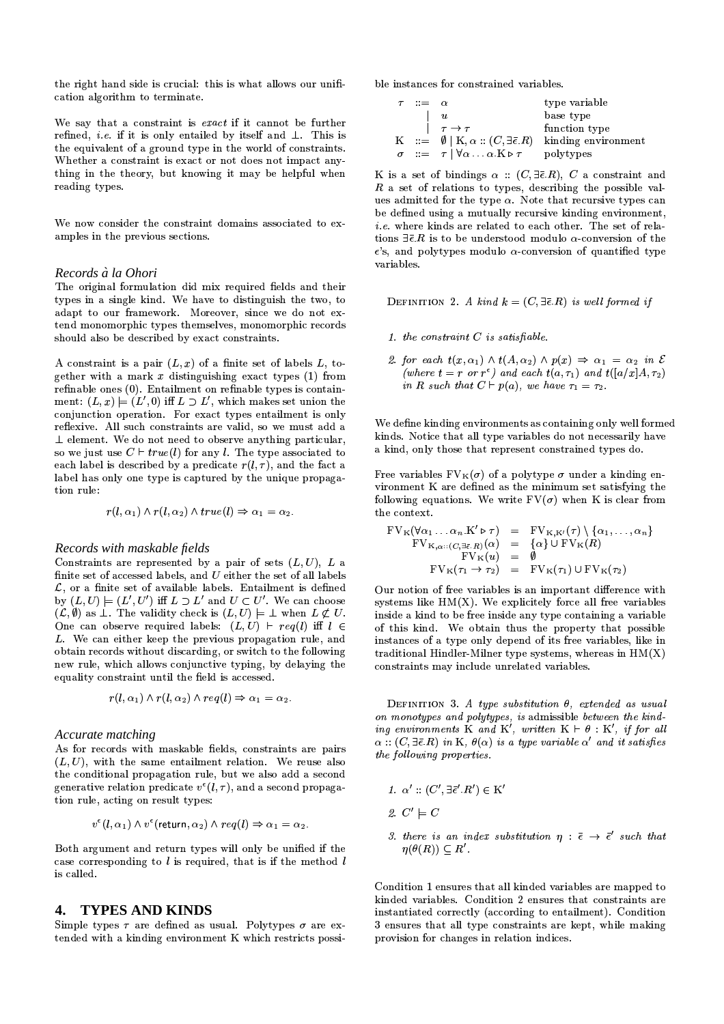the right hand side is crucial: this is what allows our unification algorithm to terminate.

We say that a constraint is exact if it cannot be further refined, *i.e.* if it is only entailed by itself and  $\perp$ . This is the equivalent of a ground type in the world of constraints. Whether a constraint is exact or not does not impact anything in the theory, but knowing it may be helpful when reading types.

We now consider the constraint domains associated to examples in the previous sections.

### Records à la Ohori

The original formulation did mix required fields and their types in a single kind. We have to distinguish the two, to adapt to our framework. Moreover, since we do not extend monomorphic types themselves, monomorphic records should also be described by exact constraints.

A constraint is a pair  $(L, x)$  of a finite set of labels L, together with a mark  $x$  distinguishing exact types (1) from refinable ones (0). Entailment on refinable types is containment:  $(L, x) \models (L', 0)$  iff  $L \supset L'$ , which makes set union the conjunction operation. For exact types entailment is only reflexive. All such constraints are valid, so we must add a  $\perp$  element. We do not need to observe anything particular, so we just use  $C \vdash true(l)$  for any l. The type associated to each label is described by a predicate  $r(l, \tau)$ , and the fact a label has only one type is captured by the unique propagation rule:

$$
r(l, \alpha_1) \wedge r(l, \alpha_2) \wedge true(l) \Rightarrow \alpha_1 = \alpha_2.
$$

### Records with maskable fields

Constraints are represented by a pair of sets  $(L, U)$ , L a finite set of accessed labels, and  $U$  either the set of all labels  $\mathcal{L}$ , or a finite set of available labels. Entailment is defined by  $(L, U) \models (L', U')$  iff  $L \supset L'$  and  $U \subset U'$ . We can choose  $(\mathcal{L}, \emptyset)$  as  $\perp$ . The validity check is  $(L, U) \models \perp$  when  $L \not\subset U$ . One can observe required labels:  $(L, U)$  +  $reg(l)$  iff  $l \in$ L. We can either keep the previous propagation rule, and obtain records without discarding, or switch to the following new rule, which allows conjunctive typing, by delaying the equality constraint until the field is accessed.

$$
r(l, \alpha_1) \wedge r(l, \alpha_2) \wedge req(l) \Rightarrow \alpha_1 = \alpha_2.
$$

### Accurate matching

As for records with maskable fields, constraints are pairs  $(L, U)$ , with the same entailment relation. We reuse also the conditional propagation rule, but we also add a second generative relation predicate  $v^{\epsilon}(l, \tau)$ , and a second propagation rule, acting on result types:

$$
v^{\epsilon}(l, \alpha_1) \wedge v^{\epsilon}(\text{return}, \alpha_2) \wedge \text{req}(l) \Rightarrow \alpha_1 = \alpha_2.
$$

Both argument and return types will only be unified if the case corresponding to  $l$  is required, that is if the method  $l$ is called

## 4. TYPES AND KINDS

Simple types  $\tau$  are defined as usual. Polytypes  $\sigma$  are extended with a kinding environment K which restricts possible instances for constrained variables.

| $\tau = \alpha$ |                                                                      | type variable                                                                    |
|-----------------|----------------------------------------------------------------------|----------------------------------------------------------------------------------|
|                 | $\boldsymbol{u}$                                                     | base type                                                                        |
|                 | $\tau \rightarrow \tau$                                              | function type                                                                    |
|                 |                                                                      | $K := \emptyset   K, \alpha : (C, \exists \bar{\epsilon} R)$ kinding environment |
|                 | $\sigma = \tau   \forall \alpha \ldots \alpha K \triangleright \tau$ | polytypes                                                                        |

K is a set of bindings  $\alpha$  ::  $(C, \exists \bar{\epsilon} R)$ , C a constraint and  $R$  a set of relations to types, describing the possible values admitted for the type  $\alpha$ . Note that recursive types can be defined using a mutually recursive kinding environment, *i.e.* where kinds are related to each other. The set of relations  $\exists \overline{\epsilon} . R$  is to be understood modulo  $\alpha$ -conversion of the  $\epsilon$ 's, and polytypes modulo  $\alpha$ -conversion of quantified type variables

DEFINITION 2. A kind  $k = (C, \exists \bar{\epsilon}. R)$  is well formed if

- 1. the constraint  $C$  is satisfiable.
- 2. for each  $t(x, \alpha_1) \wedge t(A, \alpha_2) \wedge p(x) \Rightarrow \alpha_1 = \alpha_2$  in E (where  $t = r$  or  $r^{\epsilon}$ ) and each  $t(a, \tau_1)$  and  $t([a/x]A, \tau_2)$ in R such that  $C \vdash p(a)$ , we have  $\tau_1 = \tau_2$ .

We define kinding environments as containing only well formed kinds. Notice that all type variables do not necessarily have a kind, only those that represent constrained types do.

Free variables  $FV_{K}(\sigma)$  of a polytype  $\sigma$  under a kinding environment K are defined as the minimum set satisfying the following equations. We write  $FV(\sigma)$  when K is clear from the context.

$$
FV_{K}(\forall \alpha_{1} \ldots \alpha_{n}.K' \triangleright \tau) = FV_{K,K'}(\tau) \setminus \{\alpha_{1}, \ldots, \alpha_{n}\}\
$$
  
\n
$$
FV_{K,\alpha::(C,\exists \bar{\epsilon}.R)}(\alpha) = \{\alpha\} \cup FV_{K}(R)
$$
  
\n
$$
FV_{K}(u) = \emptyset
$$
  
\n
$$
FV_{K}(\tau_{1} \rightarrow \tau_{2}) = FV_{K}(\tau_{1}) \cup FV_{K}(\tau_{2})
$$

Our notion of free variables is an important difference with systems like  $HM(X)$ . We explicitely force all free variables inside a kind to be free inside any type containing a variable of this kind. We obtain thus the property that possible instances of a type only depend of its free variables, like in traditional Hindler-Milner type systems, whereas in  $HM(X)$ constraints may include unrelated variables.

DEFINITION 3. A type substitution  $\theta$ , extended as usual on monotypes and polytypes, is admissible between the kind-<br>ing environments K and K', written  $K \vdash \theta : K'$ , if for all  $\alpha :: (C, \exists \bar{\epsilon}. R) \ in \ \texttt{K}, \ \theta(\alpha) \ is \ a \ type \ variable \ \alpha' \ and \ its \ satisfies$ the following properties.

$$
1. \ \alpha' :: (C', \exists \bar{\epsilon}' . R') \in \mathrm{K}'
$$

- 2.  $C' \models C$
- 3. there is an index substitution  $\eta : \overline{\epsilon} \to \overline{\epsilon}'$  such that  $\eta(\theta(R)) \subset R'$ .

Condition 1 ensures that all kinded variables are mapped to kinded variables. Condition 2 ensures that constraints are instantiated correctly (according to entailment). Condition 3 ensures that all type constraints are kept, while making provision for changes in relation indices.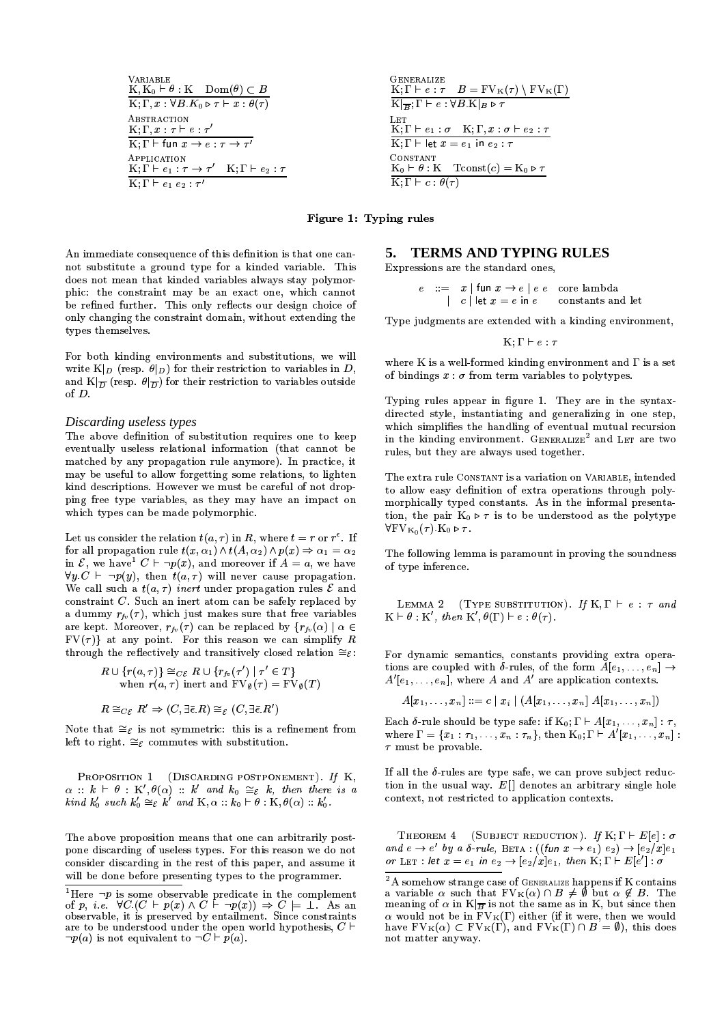**VARIABLE**  $K, K_0 \vdash \theta : K$  Dom $(\theta) \subset B$  $K; \Gamma, x : \forall B K_0 \triangleright \tau \vdash x : \theta(\tau)$ ABSTRACTION K;  $\Gamma, x : \tau \vdash e : \tau'$  $K; \Gamma \vdash$  fun  $x \rightarrow e : \tau \rightarrow \tau'$ APPLICATION  $K; \Gamma \vdash e_1 : \tau \rightarrow \tau'$   $K; \Gamma \vdash e_2 : \tau$  $\overline{\text{K};\Gamma \vdash e_1\ e_2 : \tau'}$ 



Figure 1: Typing rules

An immediate consequence of this definition is that one cannot substitute a ground type for a kinded variable. This does not mean that kinded variables always stay polymorphic: the constraint may be an exact one, which cannot be refined further. This only reflects our design choice of only changing the constraint domain, without extending the types themselves.

For both kinding environments and substitutions, we will write  $K|_{D}$  (resp.  $\theta|_{D}$ ) for their restriction to variables in D. and  $K|_{\overline{D}}$  (resp.  $\theta|_{\overline{D}}$ ) for their restriction to variables outside of  $D$ .

### Discarding useless types

The above definition of substitution requires one to keep eventually useless relational information (that cannot be matched by any propagation rule anymore). In practice, it may be useful to allow forgetting some relations, to lighten kind descriptions. However we must be careful of not dropping free type variables, as they may have an impact on which types can be made polymorphic.

Let us consider the relation  $t(a, \tau)$  in R, where  $t = r$  or  $r^{\epsilon}$ . If for all propagation rule  $t(x, \alpha_1) \wedge t(A, \alpha_2) \wedge p(x) \Rightarrow \alpha_1 = \alpha_2$ in  $\mathcal{E}$ , we have  $C \vdash \neg p(x)$ , and moreover if  $A = a$ , we have  $\forall y \in C$   $\vdash \neg p(y)$ , then  $t(a, \tau)$  will never cause propagation. We call such a  $t(a, \tau)$  inert under propagation rules  $\mathcal E$  and constraint  $C$ . Such an inert atom can be safely replaced by a dummy  $r_{fv}(\tau)$ , which just makes sure that free variables are kept. Moreover,  $r_{fv}(\tau)$  can be replaced by  $\{r_{fv}(\alpha) \mid \alpha \in$  $FV(\tau)$  at any point. For this reason we can simplify R through the reflectively and transitively closed relation  $\cong_{\mathcal{E}}$ :

$$
R \cup \{r(a,\tau)\} \cong_{C\mathcal{E}} R \cup \{r_{fv}(\tau') \mid \tau' \in T\}
$$
  
when  $r(a,\tau)$  inert and  $FV_{\emptyset}(\tau) = FV_{\emptyset}(T)$ 

$$
R \cong_{C\mathcal{E}} R' \Rightarrow (C, \exists \bar{\epsilon}. R) \cong_{\mathcal{E}} (C, \exists \bar{\epsilon}. R')
$$

Note that  $\cong_{\mathcal{E}}$  is not symmetric: this is a refinement from left to right.  $\cong_{\mathcal{E}}$  commutes with substitution.

PROPOSITION 1 (DISCARDING POSTPONEMENT). If K,  $\alpha :: k \vdash \theta :: K', \theta(\alpha) :: k' \text{ and } k_0 \cong_{\mathcal{E}} k$ , then there is a kind  $k'_0$  such  $k'_0 \cong_{\mathcal{E}} k'$  and  $K, \alpha : k_0 \vdash \theta : K, \theta(\alpha) :: k'_0$ .

The above proposition means that one can arbitrarily postpone discarding of useless types. For this reason we do not consider discarding in the rest of this paper, and assume it will be done before presenting types to the programmer.

#### **TERMS AND TYPING RULES** 5.

Expressions are the standard ones,

 $\begin{array}{rcl} e & ::= & x \mid \text{fun} \ x \rightarrow e \mid e \ e \quad \text{core lambda} \\ & & | & c \mid \text{let} \ x = e \ \text{in} \ e \quad \text{constants and let} \end{array}$ 

Type judgments are extended with a kinding environment,

 $K: \Gamma \vdash e : \tau$ 

where K is a well-formed kinding environment and  $\Gamma$  is a set of bindings  $x : \sigma$  from term variables to polytypes.

Typing rules appear in figure 1. They are in the syntaxdirected style, instantiating and generalizing in one step, which simplifies the handling of eventual mutual recursion in the kinding environment. GENERALIZE<sup>2</sup> and LET are two rules, but they are always used together.

The extra rule CONSTANT is a variation on VARIABLE, intended to allow easy definition of extra operations through polymorphically typed constants. As in the informal presentation, the pair  $K_0 \triangleright \tau$  is to be understood as the polytype  $\forall$ FV<sub>Ko</sub> $(\tau)$ .K<sub>0</sub>  $\triangleright \tau$ .

The following lemma is paramount in proving the soundness of type inference.

LEMMA 2 (Type SUBSTITUTION). If 
$$
K, \Gamma \vdash e : \tau
$$
 and  $K \vdash \theta : K'$ , then  $K', \theta(\Gamma) \vdash e : \theta(\tau)$ .

For dynamic semantics, constants providing extra operations are coupled with  $\delta$ -rules, of the form  $A[e_1,\ldots,e_n] \to$  $A'[e_1, \ldots, e_n]$ , where A and A' are application contexts.

 $A[x_1, \ldots, x_n] ::= c | x_i | (A[x_1, \ldots, x_n] A[x_1, \ldots, x_n])$ 

Each  $\delta$ -rule should be type safe: if  $K_0$ ;  $\Gamma \vdash A[x_1, \ldots, x_n] : \tau$ , where  $\Gamma = \{x_1 : \tau_1, \ldots, x_n : \tau_n\}$ , then  $\mathrm{K}_0; \Gamma \vdash A'[x_1, \ldots, x_n]$ :  $\tau$  must be provable.

If all the  $\delta$ -rules are type safe, we can prove subject reduction in the usual way.  $E[$ ] denotes an arbitrary single hole context, not restricted to application contexts.

THEOREM 4 (SUBJECT REDUCTION). If  $K; \Gamma \vdash E[e] : \sigma$ and  $e \rightarrow e'$  by a  $\delta$ -rule, BETA:  $((\text{fun } x \rightarrow e_1) e_2) \rightarrow [e_2/x]e_1$ or LET : let  $x = e_1$  in  $e_2 \rightarrow [e_2/x]e_1$ , then K;  $\Gamma \vdash E[e']$  :  $\sigma$ 

Here  $\neg p$  is some observable predicate in the complement<br>of p, *i.e.*  $\forall C.(C \vdash p(x) \land C \vdash \neg p(x)) \Rightarrow C \models \bot$ . As an<br>observable, it is preserved by entailment. Since constraints are to be understood under the open world hypothesis,  $C \vdash$  $\neg p(a)$  is not equivalent to  $\neg C \vdash p(a)$ .

<sup>&</sup>lt;sup>2</sup>A somehow strange case of GENERALIZE happens if K contains<br>a variable  $\alpha$  such that  $FV_K(\alpha) \cap B \neq \emptyset$  but  $\alpha \notin B$ . The meaning of  $\alpha$  in K  $\vert_{\overline{B}}$  is not the same as in K, but since then  $\alpha$  would not be in  $FV_K(\Gamma)$  either (if it were, then we would<br>have  $FV_K(\alpha) \subset FV_K(\Gamma)$ , and  $FV_K(\Gamma) \cap B = \emptyset$ ), this does not matter anyway.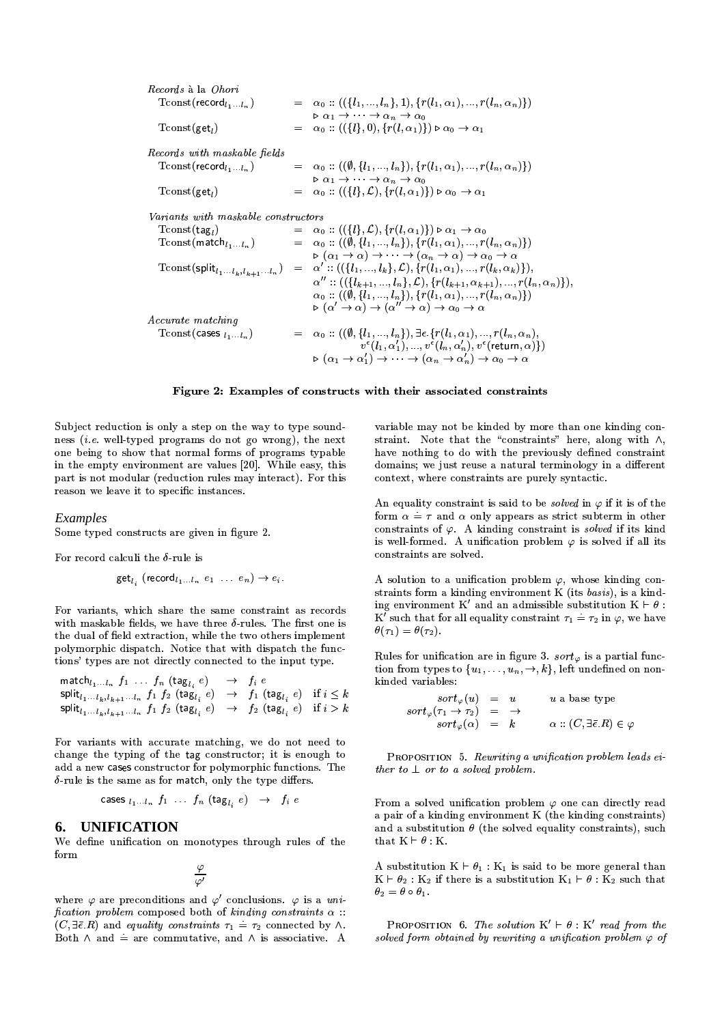| <i>Records</i> à la <i>Ohori</i>     |                                                                                                                                                                                                                         |
|--------------------------------------|-------------------------------------------------------------------------------------------------------------------------------------------------------------------------------------------------------------------------|
| $T$ const (record $_{l_1l_n}$ )      | $= \alpha_0 :: ((\{l_1, , l_n\}, 1), \{r(l_1, \alpha_1), , r(l_n, \alpha_n)\})$                                                                                                                                         |
| $T$ const(get,)                      | $\triangleright \alpha_1 \rightarrow \cdots \rightarrow \alpha_n \rightarrow \alpha_0$<br>$= \alpha_0 :: ((\{l\}, 0), \{r(l, \alpha_1)\}) \triangleright \alpha_0 \rightarrow \alpha_1$                                 |
| Records with maskable fields         |                                                                                                                                                                                                                         |
| $T$ const (record $l_1 \ldots l_n$ ) | $= \alpha_0 :: ((\emptyset, \{l_1, , l_n\}), \{r(l_1, \alpha_1), , r(l_n, \alpha_n)\})$                                                                                                                                 |
|                                      | $\triangleright$ $\alpha_1 \rightarrow \cdots \rightarrow \alpha_n \rightarrow \alpha_0$                                                                                                                                |
| $T$ const(get <sub>1</sub> )         | $= \alpha_0 :: ((\{l\}, \mathcal{L}), \{r(l, \alpha_1)\}) \triangleright \alpha_0 \rightarrow \alpha_1$                                                                                                                 |
| Variants with maskable constructors  |                                                                                                                                                                                                                         |
| $T$ const $(\texttt{tag}_l)$         | $= \alpha_0 :: ((\{l\}, \mathcal{L}), \{r(l, \alpha_1)\}) \triangleright \alpha_1 \rightarrow \alpha_0$                                                                                                                 |
| $T$ const (match $_{l_1l_n}$ )       | $= \alpha_0 :: ((\emptyset, \{l_1, , l_n\}), \{r(l_1, \alpha_1), , r(l_n, \alpha_n)\})$                                                                                                                                 |
|                                      | $\triangleright (\alpha_1 \to \alpha) \to \cdots \to (\alpha_n \to \alpha) \to \alpha_0 \to \alpha$                                                                                                                     |
|                                      | Tconst (split <sub>l1</sub> , $l_{k,1}$ , $l_{k+1}$ , $l_{n}$ ) = $\alpha'$ :: (({l <sub>1</sub> , , l <sub>k</sub> }, L}, {r(l <sub>1</sub> , $\alpha$ <sub>1</sub> ), , r(l <sub>k</sub> , $\alpha$ <sub>k</sub> )}), |
|                                      | $\alpha'':((\{l_{k+1},,l_n\},\mathcal{L}),\{r(l_{k+1},\alpha_{k+1}),,r(l_n,\alpha_n)\}),$                                                                                                                               |
|                                      | $\alpha_0$ :: $((\emptyset, \{l_1, , l_n\}), \{r(l_1, \alpha_1), , r(l_n, \alpha_n)\})$                                                                                                                                 |
|                                      | $\triangleright (\alpha' \to \alpha) \to (\alpha'' \to \alpha) \to \alpha_0 \to \alpha$                                                                                                                                 |
| <i>Accurate matching</i>             |                                                                                                                                                                                                                         |
| $T$ const (cases $l_1l_n$ )          | $= \alpha_0 :: ((\emptyset, \{l_1, , l_n\}), \exists \epsilon, \{r(l_1, \alpha_1), , r(l_n, \alpha_n)\})$                                                                                                               |
|                                      | $v^{\epsilon}(l_1,\alpha'_1),,v^{\epsilon}(l_n,\alpha'_n),v^{\epsilon}$ (return, $\alpha$ ) { )                                                                                                                         |
|                                      | $\triangleright (\alpha_1 \to \alpha'_1) \to \cdots \to (\alpha_n \to \alpha'_n) \to \alpha_0 \to \alpha$                                                                                                               |
|                                      |                                                                                                                                                                                                                         |

Figure 2: Examples of constructs with their associated constraints

Subject reduction is only a step on the way to type soundness *(i.e.* well-typed programs do not go wrong), the next one being to show that normal forms of programs typable in the empty environment are values [20]. While easy, this part is not modular (reduction rules may interact). For this reason we leave it to specific instances.

### Examples

Some typed constructs are given in figure 2.

For record calculi the  $\delta$ -rule is

$$
\mathsf{get}_{l_i} \ (\mathsf{record}_{l_1 \ldots l_n} \ e_1 \ \ldots \ e_n) \to e_i.
$$

For variants, which share the same constraint as records with maskable fields, we have three  $\delta$ -rules. The first one is the dual of field extraction, while the two others implement polymorphic dispatch. Notice that with dispatch the functions' types are not directly connected to the input type.

$$
\begin{array}{lcl}\mathsf{match}_{l_1...l_n} & f_1 \; \ldots \; f_n \; (\mathsf{tag}_{l_i} \; e) & \rightarrow & f_i \; e \\
\textsf{split}_{l_1...l_k, l_{k+1}...l_n} & f_1 \; f_2 \; (\mathsf{tag}_{l_i} \; e) & \rightarrow & f_1 \; (\mathsf{tag}_{l_i} \; e) \quad \text{if} \; i \leq k \\
\textsf{split}_{l_1...l_k, l_{k+1}...l_n} & f_1 \; f_2 \; (\mathsf{tag}_{l_i} \; e) & \rightarrow & f_2 \; (\mathsf{tag}_{l_i} \; e) \quad \text{if} \; i > k\n\end{array}
$$

For variants with accurate matching, we do not need to change the typing of the tag constructor; it is enough to add a new cases constructor for polymorphic functions. The  $\delta$ -rule is the same as for match, only the type differs.

cases 
$$
l_1 \ldots l_n
$$
  $f_1 \ldots f_n$  (tag<sub>l<sub>i</sub></sub>  $e$ )  $\rightarrow$   $f_i e$ 

#### **UNIFICATION** 6.

We define unification on monotypes through rules of the form

 $\frac{\varphi}{\varphi'}$ 

where  $\varphi$  are preconditions and  $\varphi'$  conclusions.  $\varphi$  is a unification problem composed both of kinding constraints  $\alpha$ :  $(C, \exists \overline{\epsilon}, R)$  and equality constraints  $\tau_1 = \tau_2$  connected by  $\wedge$ . Both  $\land$  and  $\dot{=}$  are commutative, and  $\land$  is associative. A variable may not be kinded by more than one kinding constraint. Note that the "constraints" here, along with  $\wedge$ , have nothing to do with the previously defined constraint domains; we just reuse a natural terminology in a different context, where constraints are purely syntactic.

An equality constraint is said to be *solved* in  $\varphi$  if it is of the form  $\alpha = \tau$  and  $\alpha$  only appears as strict subterm in other constraints of  $\varphi$ . A kinding constraint is solved if its kind is well-formed. A unification problem  $\varphi$  is solved if all its constraints are solved.

A solution to a unification problem  $\varphi$ , whose kinding constraints form a kinding environment K (its basis), is a kinding environment K' and an admissible substitution  $K \vdash \theta$ : K' such that for all equality constraint  $\tau_1 = \tau_2$  in  $\varphi$ , we have  $\theta(\tau_1) = \theta(\tau_2).$ 

Rules for unification are in figure 3.  $sort_{\varphi}$  is a partial function from types to  $\{u_1, \ldots, u_n, \rightarrow, k\}$ , left undefined on nonkinded variables:

| $sort_{\varphi}(u) = u$                                   |  | $u$ a base type                                         |
|-----------------------------------------------------------|--|---------------------------------------------------------|
| $sort_{\varphi}(\tau_1 \rightarrow \tau_2) = \rightarrow$ |  |                                                         |
| $sort_{\varphi}(\alpha) = k$                              |  | $\alpha$ :: $(C, \exists \bar{\epsilon} R) \in \varphi$ |

PROPOSITION 5. Rewriting a unification problem leads either to  $\perp$  or to a solved problem.

From a solved unification problem  $\varphi$  one can directly read a pair of a kinding environment K (the kinding constraints) and a substitution  $\theta$  (the solved equality constraints), such that  $K \vdash \theta : K$ .

A substitution  $K \vdash \theta_1 : K_1$  is said to be more general than  $K \vdash \theta_2 : K_2$  if there is a substitution  $K_1 \vdash \theta : K_2$  such that  $\theta_2 = \theta \circ \theta_1$ .

**PROPOSITION** 6. The solution  $K' \vdash \theta : K'$  read from the solved form obtained by rewriting a unification problem  $\varphi$  of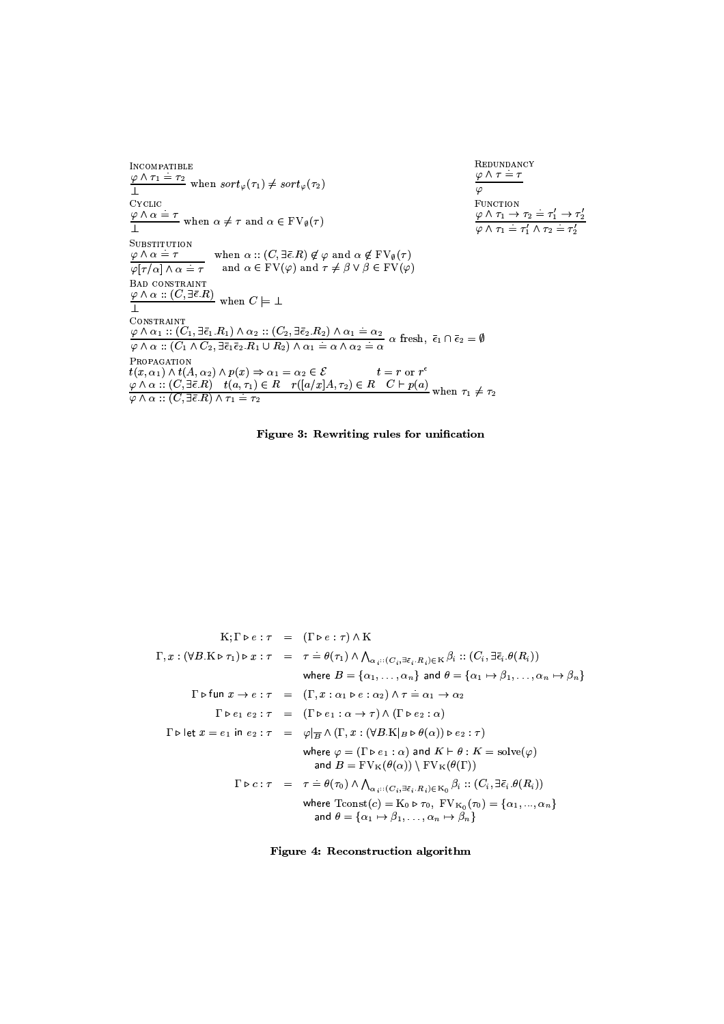| INCOMPATIBLE                                                                                                                                                                                                                                                                                                                                                                    | <b>REDUNDANCY</b>                                                                                                                        |
|---------------------------------------------------------------------------------------------------------------------------------------------------------------------------------------------------------------------------------------------------------------------------------------------------------------------------------------------------------------------------------|------------------------------------------------------------------------------------------------------------------------------------------|
| $\frac{\varphi \wedge \tau_1 \doteq \tau_2}{1}$ when $sort_{\varphi}(\tau_1) \neq sort_{\varphi}(\tau_2)$                                                                                                                                                                                                                                                                       | $\varphi \wedge \tau = \tau$<br>$\varphi$                                                                                                |
| <b>CYCLIC</b>                                                                                                                                                                                                                                                                                                                                                                   | FUNCTION                                                                                                                                 |
| $\frac{\varphi \wedge \alpha = \tau}{\tau}$ when $\alpha \neq \tau$ and $\alpha \in FV_{\emptyset}(\tau)$                                                                                                                                                                                                                                                                       | $\frac{\varphi \wedge \tau_1 \rightarrow \tau_2 = \tau'_1 \rightarrow \tau'_2}{\varphi \wedge \tau_1 = \tau'_1 \wedge \tau_2 = \tau'_2}$ |
| SUBSTITUTION<br>$\varphi \wedge \alpha = \tau$ when $\alpha : (C, \exists \bar{\epsilon} . R) \notin \varphi$ and $\alpha \notin FV_{\emptyset}(\tau)$<br>$\varphi[\tau/\alpha] \wedge \alpha = \overline{\tau}$ and $\alpha \in \mathrm{FV}(\varphi)$ and $\tau \neq \beta \vee \beta \in \mathrm{FV}(\varphi)$                                                                |                                                                                                                                          |
| <b>BAD CONSTRAINT</b><br>$\frac{\varphi \wedge \alpha :: (C, \exists \bar{\epsilon}.R)}{\Delta}$ when $C \models \bot$                                                                                                                                                                                                                                                          |                                                                                                                                          |
| <b>CONSTRAINT</b>                                                                                                                                                                                                                                                                                                                                                               |                                                                                                                                          |
| $\frac{\varphi \wedge \alpha_1 :: (C_1, \exists \bar{\epsilon}_1. R_1) \wedge \alpha_2 :: (C_2, \exists \bar{\epsilon}_2. R_2) \wedge \alpha_1 = \alpha_2}{\varphi \wedge \alpha :: (C_1 \wedge C_2, \exists \bar{\epsilon}_1 \bar{\epsilon}_2. R_1 \cup R_2) \wedge \alpha_1 = \alpha \wedge \alpha_2 = \alpha}$ a fresh, $\bar{\epsilon}_1 \cap \bar{\epsilon}_2 = \emptyset$ |                                                                                                                                          |
| PROPAGATION                                                                                                                                                                                                                                                                                                                                                                     |                                                                                                                                          |
| $t(x, \alpha_1) \wedge t(A, \alpha_2) \wedge p(x) \Rightarrow \alpha_1 = \alpha_2 \in \mathcal{E}$ $t = r$ or $r^{\epsilon}$                                                                                                                                                                                                                                                    |                                                                                                                                          |
| $\frac{\varphi \wedge \alpha :: (C, \exists \bar{\epsilon}.R) \quad t(a, \tau_1) \in R \quad r([a/x]A, \tau_2) \in R \quad C \vdash p(a)}{\varphi \wedge \alpha :: (C, \exists \bar{\epsilon}.R) \wedge \tau_1 = \tau_2}$                                                                                                                                                       |                                                                                                                                          |





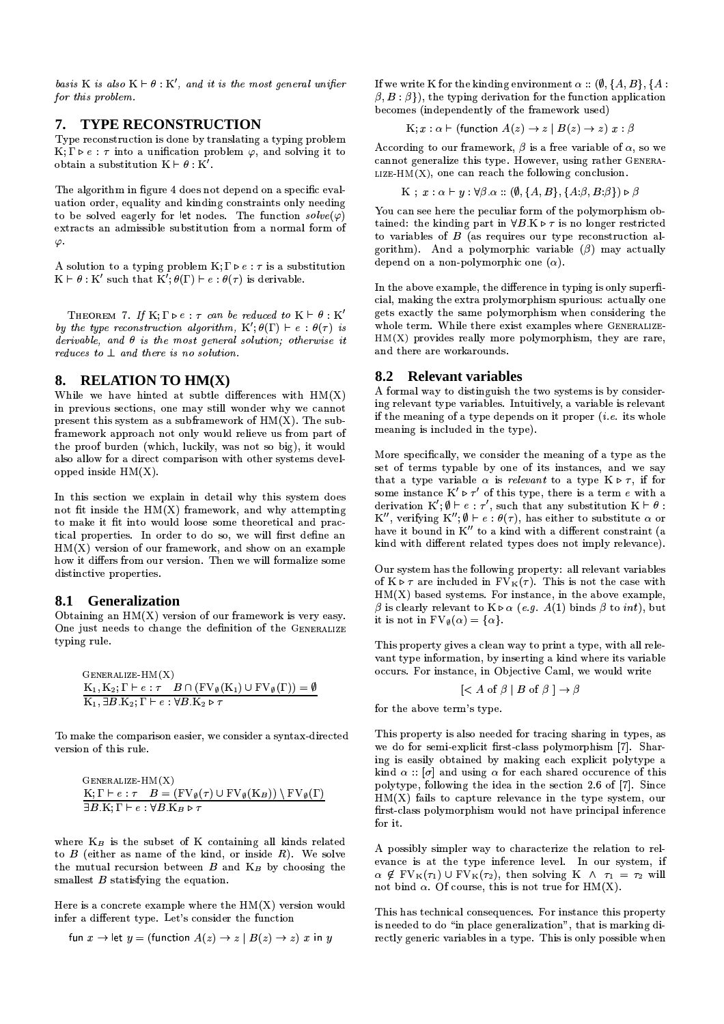basis K is also  $K \vdash \theta : K'$ , and it is the most general unifier for this problem.

## 7. TYPE RECONSTRUCTION

Type reconstruction is done by translating a typing problem  $K;\Gamma \triangleright e : \tau$  into a unification problem  $\varphi$ , and solving it to obtain a substitution  $K \vdash \theta : K'$ .

The algorithm in figure 4 does not depend on a specific evaluation order, equality and kinding constraints only needing to be solved eagerly for let nodes. The function  $solve(\varphi)$ extracts an admissible substitution from a normal form of  $\varphi$ .

A solution to a typing problem  $K; \Gamma \triangleright e : \tau$  is a substitution  $K \vdash \theta : K'$  such that  $K'; \theta(\Gamma) \vdash e : \theta(\tau)$  is derivable.

THEOREM 7. If K;  $\Gamma \triangleright e : \tau$  can be reduced to  $K \vdash \theta : K'$ by the type reconstruction algorithm,  $K' : \theta(\Gamma) \vdash e : \theta(\tau)$  is derivable, and  $\theta$  is the most general solution; otherwise it reduces to  $\perp$  and there is no solution.

### 8. RELATION TO HM(X)

While we have hinted at subtle differences with  $HM(X)$ in previous sections, one may still wonder why we cannot present this system as a subframework of  $HM(X)$ . The subframework approach not only would relieve us from part of the proof burden (which, luckily, was not so big), it would also allow for a direct comparison with other systems developped inside  $HM(X)$ .

In this section we explain in detail why this system does not fit inside the HM(X) framework, and why attempting to make it fit into would loose some theoretical and practical properties. In order to do so, we will first define an  $HM(X)$  version of our framework, and show on an example how it differs from our version. Then we will formalize some distinctive properties.

### 8.1 Generalization

Obtaining an  $HM(X)$  version of our framework is very easy. One just needs to change the definition of the GENERALIZE typing rule.

$$
GENERALIZE-HM(X)
$$
  
\n
$$
K_1, K_2; \Gamma \vdash e : \tau \quad B \cap (FV_{\emptyset}(K_1) \cup FV_{\emptyset}(\Gamma)) = \emptyset
$$
  
\n
$$
K_1, \exists B.K_2; \Gamma \vdash e : \forall B.K_2 \triangleright \tau
$$

To make the comparison easier, we consider a syntax-directed version of this rule.

$$
GENERALIZE-HM(X)
$$
  
\n
$$
K; \Gamma \vdash e : \tau \quad B = (FV_{\emptyset}(\tau) \cup FV_{\emptyset}(K_B)) \setminus FV_{\emptyset}(\Gamma)
$$
  
\n
$$
\exists B. K; \Gamma \vdash e : \forall B. K_B \triangleright \tau
$$

where  $K_B$  is the subset of K containing all kinds related to  $B$  (either as name of the kind, or inside  $R$ ). We solve the mutual recursion between  $B$  and  $K_B$  by choosing the smallest  $B$  statisfying the equation.

Here is a concrete example where the  $HM(X)$  version would infer a different type. Let's consider the function

$$
\text{fun } x \to \text{let } y = (\text{function } A(z) \to z \mid B(z) \to z) \ x \text{ in } y
$$

If we write K for the kinding environment  $\alpha$  :: (0, {A, B}, {A :  $\beta, B : \beta$ ), the typing derivation for the function application becomes (independently of the framework used)

$$
K; x : \alpha \vdash (\text{function } A(z) \to z \mid B(z) \to z) \ x : \beta
$$

According to our framework,  $\beta$  is a free variable of  $\alpha$ , so we cannot generalize this type. However, using rather GENERA-LIZE-HM $(X)$ , one can reach the following conclusion.

$$
K: x : \alpha \vdash y : \forall \beta \alpha :: (\emptyset, \{A, B\}, \{A \beta, B \beta\}) \triangleright \beta
$$

You can see here the peculiar form of the polymorphism obtained: the kinding part in  $\forall B.K \triangleright \tau$  is no longer restricted to variables of  $B$  (as requires our type reconstruction algorithm). And a polymorphic variable  $(\beta)$  may actually depend on a non-polymorphic one  $(\alpha)$ .

In the above example, the difference in typing is only superficial, making the extra prolymorphism spurious: actually one gets exactly the same polymorphism when considering the whole term. While there exist examples where GENERALIZE- $HM(X)$  provides really more polymorphism, they are rare, and there are workarounds.

### 8.2 Relevant variables

A formal way to distinguish the two systems is by considering relevant type variables. Intuitively, a variable is relevant if the meaning of a type depends on it proper  $(i.e.$  its whole meaning is included in the type).

More specifically, we consider the meaning of a type as the set of terms typable by one of its instances, and we say that a type variable  $\alpha$  is *relevant* to a type  $K \triangleright \tau$ , if for some instance  $K' \triangleright \tau'$  of this type, there is a term e with a derivation  $K'$ ;  $\emptyset \vdash e : \tau'$ , such that any substitution  $K \vdash \theta$ : K'', verifying  $K''$ ;  $\emptyset \vdash e : \theta(\tau)$ , has either to substitute  $\alpha$  or have it bound in K" to a kind with a different constraint (a kind with different related types does not imply relevance).

Our system has the following property: all relevant variables of  $K \triangleright \tau$  are included in  $FV_K(\tau)$ . This is not the case with  $HM(X)$  based systems. For instance, in the above example,  $\beta$  is clearly relevant to  $K \triangleright \alpha$  (e.g. A(1) binds  $\beta$  to *int*), but it is not in  $FV_{\emptyset}(\alpha) = {\alpha}.$ 

This property gives a clean way to print a type, with all relevant type information, by inserting a kind where its variable occurs. For instance, in Objective Caml, we would write

$$
[
$$
  $\leq$   $A$  of  $\beta$   $\mid$   $B$  of  $\beta$   $]\rightarrow \beta$ 

for the above term's type.

This property is also needed for tracing sharing in types, as we do for semi-explicit first-class polymorphism [7]. Sharing is easily obtained by making each explicit polytype a kind  $\alpha$  : [ $\sigma$ ] and using  $\alpha$  for each shared occurence of this polytype, following the idea in the section 2.6 of [7]. Since  $HM(X)$  fails to capture relevance in the type system, our first-class polymorphism would not have principal inference for it.

A possibly simpler way to characterize the relation to relevance is at the type inference level. In our system, if  $\alpha \notin FV_K(\tau_1) \cup FV_K(\tau_2)$ , then solving  $K \wedge \tau_1 = \tau_2$  will not bind  $\alpha$ . Of course, this is not true for HM(X).

This has technical consequences. For instance this property is needed to do "in place generalization", that is marking directly generic variables in a type. This is only possible when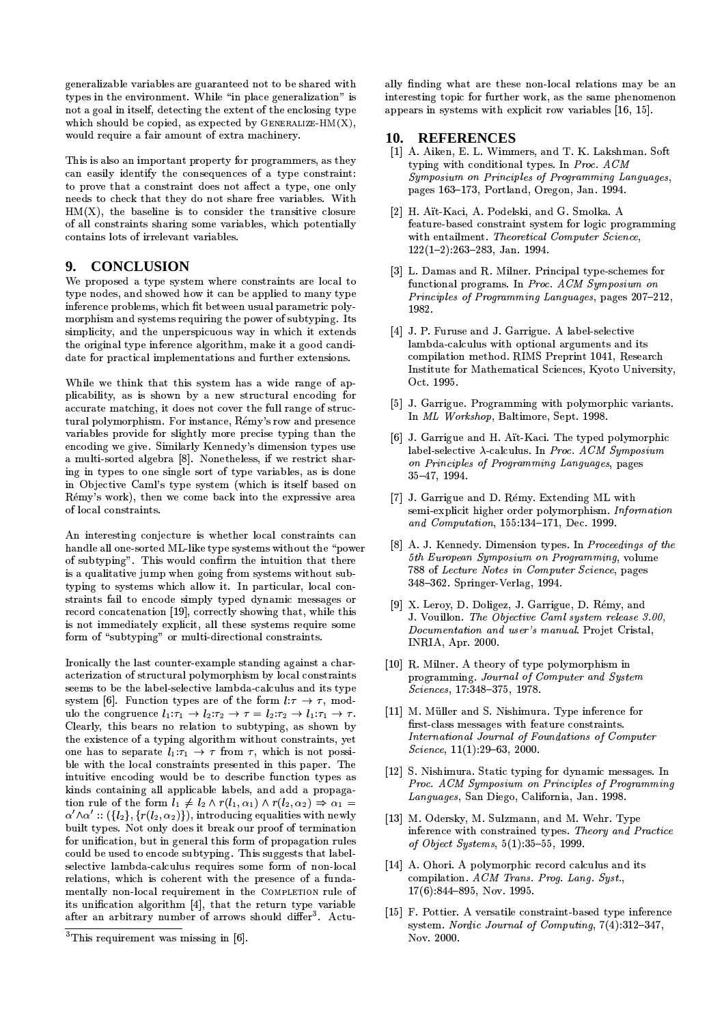generalizable variables are guaranteed not to be shared with types in the environment. While "in place generalization" is not a goal in itself, detecting the extent of the enclosing type which should be copied, as expected by GENERALIZE-HM $(X)$ , would require a fair amount of extra machinery.

This is also an important property for programmers, as they can easily identify the consequences of a type constraint: to prove that a constraint does not affect a type, one only needs to check that they do not share free variables. With  $HM(X)$ , the baseline is to consider the transitive closure of all constraints sharing some variables, which potentially contains lots of irrelevant variables.

#### $9.$ **CONCLUSION**

We proposed a type system where constraints are local to type nodes, and showed how it can be applied to many type inference problems, which fit between usual parametric polymorphism and systems requiring the power of subtyping. Its simplicity, and the unperspicuous way in which it extends the original type inference algorithm, make it a good candidate for practical implementations and further extensions.

While we think that this system has a wide range of applicability, as is shown by a new structural encoding for accurate matching, it does not cover the full range of structural polymorphism. For instance, Rémy's row and presence variables provide for slightly more precise typing than the encoding we give. Similarly Kennedy's dimension types use a multi-sorted algebra [8]. Nonetheless, if we restrict sharing in types to one single sort of type variables, as is done in Objective Caml's type system (which is itself based on Rémy's work), then we come back into the expressive area of local constraints.

An interesting conjecture is whether local constraints can handle all one-sorted ML-like type systems without the "power of subtyping". This would confirm the intuition that there is a qualitative jump when going from systems without subtyping to systems which allow it. In particular, local constraints fail to encode simply typed dynamic messages or record concatenation [19], correctly showing that, while this is not immediately explicit, all these systems require some form of "subtyping" or multi-directional constraints.

Ironically the last counter-example standing against a characterization of structural polymorphism by local constraints seems to be the label-selective lambda-calculus and its type system [6]. Function types are of the form  $l:\tau \to \tau$ , modulo the congruence  $l_1: \tau_1 \to l_2: \tau_2 \to \tau = l_2: \tau_2 \to l_1: \tau_1 \to \tau$ . Clearly, this bears no relation to subtyping, as shown by the existence of a typing algorithm without constraints, yet one has to separate  $l_1: \tau_1 \rightarrow \tau$  from  $\tau$ , which is not possible with the local constraints presented in this paper. The intuitive encoding would be to describe function types as kinds containing all applicable labels, and add a propagation rule of the form  $l_1 \neq l_2 \wedge r(l_1, \alpha_1) \wedge r(l_2, \alpha_2) \Rightarrow \alpha_1 =$  $\alpha' \wedge \alpha' :: (\{l_2\}, \{r(l_2, \alpha_2)\})$ , introducing equalities with newly built types. Not only does it break our proof of termination for unification, but in general this form of propagation rules could be used to encode subtyping. This suggests that labelselective lambda-calculus requires some form of non-local relations, which is coherent with the presence of a fundamentally non-local requirement in the COMPLETION rule of its unification algorithm [4], that the return type variable after an arbitrary number of arrows should differ<sup>3</sup>. Actu-

ally finding what are these non-local relations may be an interesting topic for further work, as the same phenomenon appears in systems with explicit row variables [16, 15].

### 10. REFERENCES

- [1] A. Aiken, E. L. Wimmers, and T. K. Lakshman. Soft typing with conditional types. In Proc. ACM Symposium on Principles of Programming Languages, pages 163-173, Portland, Oregon, Jan. 1994.
- [2] H. Aït-Kaci, A. Podelski, and G. Smolka, A. feature-based constraint system for logic programming with entailment. Theoretical Computer Science,  $122(1-2):263-283$ , Jan. 1994.
- [3] L. Damas and R. Milner. Principal type-schemes for functional programs. In Proc. ACM Symposium on Principles of Programming Languages, pages 207-212, 1982.
- [4] J. P. Furuse and J. Garrigue. A label-selective lambda-calculus with optional arguments and its compilation method. RIMS Preprint 1041, Research Institute for Mathematical Sciences, Kyoto University, Oct. 1995.
- [5] J. Garrigue. Programming with polymorphic variants. In ML Workshop, Baltimore, Sept. 1998.
- [6] J. Garrigue and H. Ait-Kaci. The typed polymorphic label-selective  $\lambda$ -calculus. In Proc. ACM Sumposium on Principles of Programming Languages, pages 35-47, 1994.
- [7] J. Garrigue and D. Rémy. Extending ML with semi-explicit higher order polymorphism. Information and Computation, 155:134-171, Dec. 1999.
- [8] A. J. Kennedy. Dimension types. In Proceedings of the 5th European Symposium on Programming, volume 788 of Lecture Notes in Computer Science, pages 348-362. Springer-Verlag, 1994.
- [9] X. Leroy, D. Doligez, J. Garrigue, D. Rémy, and J. Vouillon. The Objective Caml system release 3.00, Documentation and user's manual. Projet Cristal, INRIA, Apr. 2000.
- [10] R. Milner. A theory of type polymorphism in programming. Journal of Computer and System Sciences, 17:348-375, 1978.
- [11] M. Müller and S. Nishimura. Type inference for first-class messages with feature constraints. International Journal of Foundations of Computer  $Science, 11(1):29-63, 2000.$
- [12] S. Nishimura. Static typing for dynamic messages. In Proc. ACM Symposium on Principles of Programming Languages, San Diego, California, Jan. 1998.
- [13] M. Odersky, M. Sulzmann, and M. Wehr. Type inference with constrained types. Theory and Practice of Object Systems,  $5(1)$ :35-55, 1999.
- [14] A. Ohori. A polymorphic record calculus and its compilation. ACM Trans. Prog. Lang. Syst.,  $17(6)$ :844-895, Nov. 1995.
- [15] F. Pottier. A versatile constraint-based type inference system. Nordic Journal of Computing,  $7(4)$ :312-347. Nov. 2000.

 $3$ This requirement was missing in [6].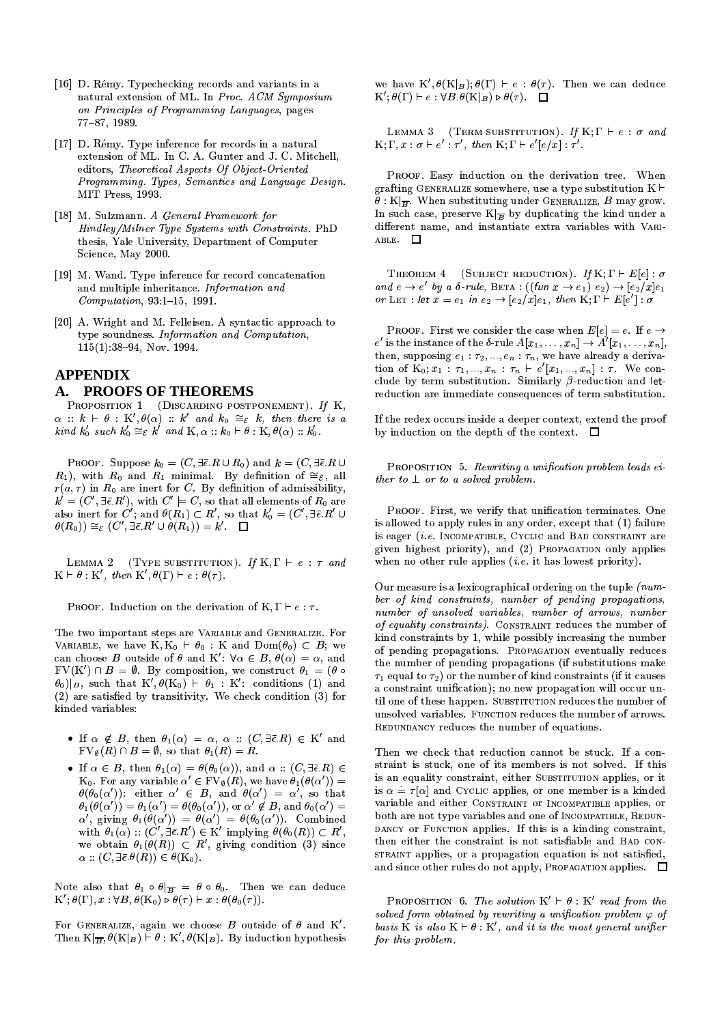- [16] D. Rémy. Typechecking records and variants in a natural extension of ML. In Proc. ACM Symposium on Principles of Programming Languages, pages 77-87, 1989.
- [17] D. Rémy. Type inference for records in a natural extension of ML. In C. A. Gunter and J. C. Mitchell, editors, Theoretical Aspects Of Object-Oriented Programming. Types, Semantics and Language Design. MIT Press. 1993.
- [18] M. Sulzmann. A General Framework for Hindley/Milner Type Systems with Constraints. PhD thesis, Yale University, Department of Computer Science, May 2000.
- [19] M. Wand. Type inference for record concatenation and multiple inheritance. Information and  $Computation, 93:1-15, 1991.$
- [20] A. Wright and M. Felleisen. A syntactic approach to type soundness. Information and Computation,  $115(1):38-94$ , Nov. 1994.

## **APPENDIX** A. PROOFS OF THEOREMS

PROPOSITION 1 (DISCARDING POSTPONEMENT). If K,  $\alpha :: k \vdash \theta :: K', \theta(\alpha) :: k'$  and  $k_0 \cong_{\mathcal{E}} k$ , then there is a kind  $k'_0$  such  $k'_0 \cong_{\mathcal{E}} k'$  and  $K, \alpha :: k_0 \vdash \theta :: K, \theta(\alpha) :: k'_0$ .

**PROOF.** Suppose  $k_0 = (C, \exists \overline{\epsilon}, R \cup R_0)$  and  $k = (C, \exists \overline{\epsilon}, R \cup R_0)$  $R_1$ ), with  $R_0$  and  $R_1$  minimal. By definition of  $\cong_{\mathcal{E}}$ , all  $r(a, \tau)$  in  $R_0$  are inert for C. By definition of admissibility,  $k^{i}=(C^{\prime}, \exists\bar{\epsilon}.R^{\prime}), \,{\rm with}\,\, C^{\prime}\models C, \,{\rm so\,\,that\,\,all\,\,elements\,\,of}\,\,R_{0}$  are also inert for  $C'$ ; and  $\theta(R_1) \subset R'$ , so that  $k'_0 = (C', \exists \bar{\epsilon} R' \cup$  $\theta(R_0)) \cong_{\mathcal{E}} (C', \exists \bar{\epsilon}. R' \cup \theta(R_1)) = k'$ .

LEMMA 2 (TYPE SUBSTITUTION). If K,  $\Gamma \vdash e : \tau$  and  $K \vdash \theta : K', \text{ then } K', \theta(\Gamma) \vdash e : \theta(\tau).$ 

**PROOF.** Induction on the derivation of K,  $\Gamma \vdash e : \tau$ .

The two important steps are VARIABLE and GENERALIZE. For VARIABLE, we have  $K, K_0 \vdash \theta_0 : K$  and  $Dom(\theta_0) \subset B$ ; we can choose B outside of  $\theta$  and K':  $\forall \alpha \in B$ ,  $\theta(\alpha) = \alpha$ , and  $FV(K') \cap B = \emptyset$ . By composition, we construct  $\theta_1 = (\theta \circ$  $\{\theta_0\}_{B}$ , such that  $K', \theta(K_0) \vdash \theta_1 : K'$ : conditions (1) and  $(2)$  are satisfied by transitivity. We check condition  $(3)$  for kinded variables:

- If  $\alpha \notin B$ , then  $\theta_1(\alpha) = \alpha$ ,  $\alpha :: (C, \exists \overline{\epsilon} . R) \in K'$  and  $FV_{\emptyset}(R) \cap B = \emptyset$ , so that  $\theta_1(R) = R$ .
- If  $\alpha \in B$ , then  $\theta_1(\alpha) = \theta(\theta_0(\alpha))$ , and  $\alpha :: (C, \exists \overline{\epsilon}, R) \in$  $K_0$ . For any variable  $\alpha' \in FV_{\emptyset}(R)$ , we have  $\theta_1(\theta(\alpha'))$  =  $\theta(\theta_0(\alpha'))$ : either  $\alpha' \in B$ , and  $\theta(\alpha') = \alpha'$ , so that  $\theta_1(\theta(\alpha')) = \theta_1(\alpha') = \theta(\theta_0(\alpha'))$ , or  $\alpha' \notin B$ , and  $\theta_0(\alpha') =$  $\alpha'$ , giving  $\theta_1(\theta(\alpha')) = \theta(\alpha') = \theta(\theta_0(\alpha'))$ . Combined with  $\theta_1(\alpha)$  ::  $(C', \exists \in R') \in K'$  implying  $\theta(\theta_0(R)) \subset R'$ , we obtain  $\theta_1(\theta(R)) \subset R'$ , giving condition (3) since  $\alpha$  ::  $(C, \exists \bar{\epsilon}.\theta(R)) \in \theta(\mathrm{K}_0)$ .

Note also that  $\theta_1 \circ \theta|_{\overline{B}} = \theta \circ \theta_0$ . Then we can deduce  $K'; \theta(\Gamma), x : \forall B, \theta(K_0) \triangleright \theta(\tau) \vdash x : \theta(\theta_0(\tau)).$ 

For GENERALIZE, again we choose B outside of  $\theta$  and K'. Then  $K|_{\overline{B}}, \theta(K|_{B}) \vdash \theta : K', \theta(K|_{B})$ . By induction hypothesis we have K',  $\theta(K|_B)$ ;  $\theta(\Gamma) \vdash e : \theta(\tau)$ . Then we can deduce  $K'; \theta(\Gamma) \vdash e : \forall B. \theta(K|_B) \triangleright \theta(\tau). \quad \Box$ 

LEMMA 3 (TERM SUBSTITUTION). If  $K; \Gamma \vdash e : \sigma$  and  $K; \Gamma, x : \sigma \vdash e' : \tau'$ , then  $K; \Gamma \vdash e'[e/x] : \tau'$ .

PROOF. Easy induction on the derivation tree. When grafting GENERALIZE somewhere, use a type substitution  $K \vdash$  $\theta$ : K| $\frac{1}{R}$ . When substituting under GENERALIZE, B may grow. In such case, preserve  $K|_{\overline{B}}$  by duplicating the kind under a different name, and instantiate extra variables with VARI-ABLE.

THEOREM 4 (SUBJECT REDUCTION). If  $K; \Gamma \vdash E[e] : \sigma$ and  $e \rightarrow e'$  by a  $\delta$ -rule, BETA:  $((\text{fun } x \rightarrow e_1) e_2) \rightarrow [e_2/x]e_1$ or LET : let  $x = e_1$  in  $e_2 \rightarrow [e_2/x]e_1$ , then  $K; \Gamma \vdash E[e'] : \sigma$ 

**PROOF.** First we consider the case when  $E[e] = e$ . If  $e \rightarrow$ e' is the instance of the  $\delta$ -rule  $A[x_1,\ldots,x_n] \to A'[x_1,\ldots,x_n],$ then, supposing  $e_1 : \tau_2, ..., e_n : \tau_n$ , we have already a derivation of  $K_0; x_1 : \tau_1, ..., x_n : \tau_n \vdash e'[x_1, ..., x_n] : \tau$ . We conclude by term substitution. Similarly  $\beta$ -reduction and letreduction are immediate consequences of term substitution.

If the redex occurs inside a deeper context, extend the proof by induction on the depth of the context.  $\Box$ 

PROPOSITION 5. Rewriting a unification problem leads either to  $\perp$  or to a solved problem.

PROOF. First, we verify that unification terminates. One is allowed to apply rules in any order, except that (1) failure is eager (*i.e.* INCOMPATIBLE, CYCLIC and BAD CONSTRAINT are given highest priority), and (2) PROPAGATION only applies when no other rule applies  $(i.e.$  it has lowest priority).

Our measure is a lexicographical ordering on the tuple  $(num$ ber of kind constraints, number of pending propagations, number of unsolved variables, number of arrows, number of equality constraints). CONSTRAINT reduces the number of kind constraints by 1, while possibly increasing the number of pending propagations. PROPAGATION eventually reduces the number of pending propagations (if substitutions make  $\tau_1$  equal to  $\tau_2$ ) or the number of kind constraints (if it causes a constraint unification); no new propagation will occur until one of these happen. SUBSTITUTION reduces the number of unsolved variables. FUNCTION reduces the number of arrows. REDUNDANCY reduces the number of equations.

Then we check that reduction cannot be stuck. If a constraint is stuck, one of its members is not solved. If this is an equality constraint, either SUBSTITUTION applies, or it is  $\alpha = \tau[\alpha]$  and Cyclic applies, or one member is a kinded variable and either CONSTRAINT OF INCOMPATIBLE applies, or both are not type variables and one of INCOMPATIBLE, REDUN-DANCY OF FUNCTION applies. If this is a kinding constraint, then either the constraint is not satisfiable and BAD CON-STRAINT applies, or a propagation equation is not satisfied, and since other rules do not apply, PROPAGATION applies.  $\Box$ 

**PROPOSITION** 6. The solution  $K' \vdash \theta : K'$  read from the solved form obtained by rewriting a unification problem  $\varphi$  of basis K is also  $K \vdash \theta : K'$ , and it is the most general unifier for this problem.